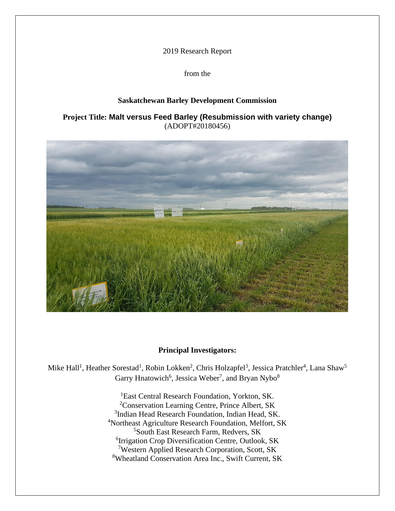2019 Research Report

from the

# **Saskatchewan Barley Development Commission**

# **Project Title: Malt versus Feed Barley (Resubmission with variety change)** (ADOPT#20180456)



# **Principal Investigators:**

Mike Hall<sup>1</sup>, Heather Sorestad<sup>1</sup>, Robin Lokken<sup>2</sup>, Chris Holzapfel<sup>3</sup>, Jessica Pratchler<sup>4</sup>, Lana Shaw<sup>5</sup> Garry Hnatowich<sup>6</sup>, Jessica Weber<sup>7</sup>, and Bryan Nybo<sup>8</sup>

> <sup>1</sup>East Central Research Foundation, Yorkton, SK. Conservation Learning Centre, Prince Albert, SK <sup>3</sup>Indian Head Research Foundation, Indian Head, SK. Northeast Agriculture Research Foundation, Melfort, SK South East Research Farm, Redvers, SK Irrigation Crop Diversification Centre, Outlook, SK Western Applied Research Corporation, Scott, SK Wheatland Conservation Area Inc., Swift Current, SK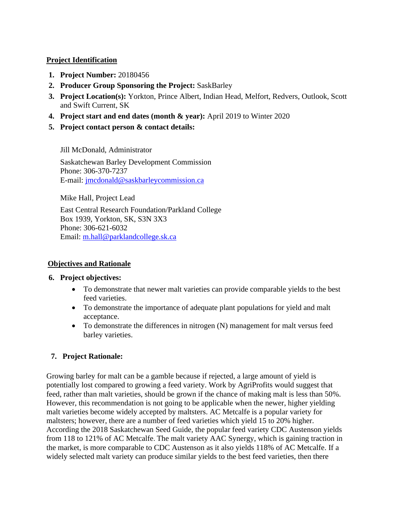#### **Project Identification**

- **1. Project Number:** 20180456
- **2. Producer Group Sponsoring the Project:** SaskBarley
- **3. Project Location(s):** Yorkton, Prince Albert, Indian Head, Melfort, Redvers, Outlook, Scott and Swift Current, SK
- **4. Project start and end dates (month & year):** April 2019 to Winter 2020
- **5. Project contact person & contact details:**

Jill McDonald, Administrator

Saskatchewan Barley Development Commission Phone: 306-370-7237 E-mail: [jmcdonald@saskbarleycommission.ca](mailto:jmcdonald@saskbarleycommission.ca)

Mike Hall, Project Lead

East Central Research Foundation/Parkland College Box 1939, Yorkton, SK, S3N 3X3 Phone: 306-621-6032 Email: [m.hall@parklandcollege.sk.ca](mailto:m.hall@parklandcollege.sk.ca)

# **Objectives and Rationale**

# **6. Project objectives:**

- To demonstrate that newer malt varieties can provide comparable yields to the best feed varieties.
- To demonstrate the importance of adequate plant populations for yield and malt acceptance.
- To demonstrate the differences in nitrogen (N) management for malt versus feed barley varieties.

# **7. Project Rationale:**

Growing barley for malt can be a gamble because if rejected, a large amount of yield is potentially lost compared to growing a feed variety. Work by AgriProfits would suggest that feed, rather than malt varieties, should be grown if the chance of making malt is less than 50%. However, this recommendation is not going to be applicable when the newer, higher yielding malt varieties become widely accepted by maltsters. AC Metcalfe is a popular variety for maltsters; however, there are a number of feed varieties which yield 15 to 20% higher. According the 2018 Saskatchewan Seed Guide, the popular feed variety CDC Austenson yields from 118 to 121% of AC Metcalfe. The malt variety AAC Synergy, which is gaining traction in the market, is more comparable to CDC Austenson as it also yields 118% of AC Metcalfe. If a widely selected malt variety can produce similar yields to the best feed varieties, then there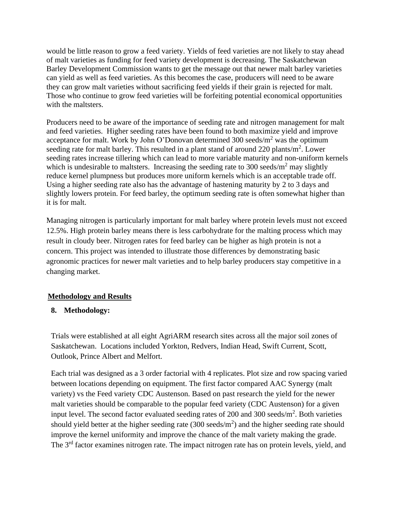would be little reason to grow a feed variety. Yields of feed varieties are not likely to stay ahead of malt varieties as funding for feed variety development is decreasing. The Saskatchewan Barley Development Commission wants to get the message out that newer malt barley varieties can yield as well as feed varieties. As this becomes the case, producers will need to be aware they can grow malt varieties without sacrificing feed yields if their grain is rejected for malt. Those who continue to grow feed varieties will be forfeiting potential economical opportunities with the maltsters.

Producers need to be aware of the importance of seeding rate and nitrogen management for malt and feed varieties. Higher seeding rates have been found to both maximize yield and improve acceptance for malt. Work by John O'Donovan determined  $300$  seeds/m<sup>2</sup> was the optimum seeding rate for malt barley. This resulted in a plant stand of around 220 plants/ $m^2$ . Lower seeding rates increase tillering which can lead to more variable maturity and non-uniform kernels which is undesirable to maltsters. Increasing the seeding rate to 300 seeds/ $m<sup>2</sup>$  may slightly reduce kernel plumpness but produces more uniform kernels which is an acceptable trade off. Using a higher seeding rate also has the advantage of hastening maturity by 2 to 3 days and slightly lowers protein. For feed barley, the optimum seeding rate is often somewhat higher than it is for malt.

Managing nitrogen is particularly important for malt barley where protein levels must not exceed 12.5%. High protein barley means there is less carbohydrate for the malting process which may result in cloudy beer. Nitrogen rates for feed barley can be higher as high protein is not a concern. This project was intended to illustrate those differences by demonstrating basic agronomic practices for newer malt varieties and to help barley producers stay competitive in a changing market.

# **Methodology and Results**

# **8. Methodology:**

Trials were established at all eight AgriARM research sites across all the major soil zones of Saskatchewan. Locations included Yorkton, Redvers, Indian Head, Swift Current, Scott, Outlook, Prince Albert and Melfort.

Each trial was designed as a 3 order factorial with 4 replicates. Plot size and row spacing varied between locations depending on equipment. The first factor compared AAC Synergy (malt variety) vs the Feed variety CDC Austenson. Based on past research the yield for the newer malt varieties should be comparable to the popular feed variety (CDC Austenson) for a given input level. The second factor evaluated seeding rates of 200 and 300 seeds/ $m^2$ . Both varieties should yield better at the higher seeding rate  $(300 \text{ seeds/m}^2)$  and the higher seeding rate should improve the kernel uniformity and improve the chance of the malt variety making the grade. The 3<sup>rd</sup> factor examines nitrogen rate. The impact nitrogen rate has on protein levels, yield, and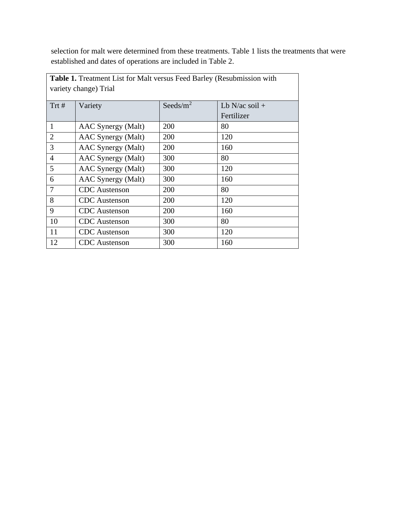selection for malt were determined from these treatments. Table 1 lists the treatments that were established and dates of operations are included in Table 2.

|                | Table 1. Treatment List for Malt versus Feed Barley (Resubmission with |              |                  |  |  |  |  |  |  |  |  |
|----------------|------------------------------------------------------------------------|--------------|------------------|--|--|--|--|--|--|--|--|
|                | variety change) Trial                                                  |              |                  |  |  |  |  |  |  |  |  |
| Trt#           | Variety                                                                | Seeds/ $m^2$ | Lb N/ac soil $+$ |  |  |  |  |  |  |  |  |
|                |                                                                        |              | Fertilizer       |  |  |  |  |  |  |  |  |
| $\mathbf{1}$   | AAC Synergy (Malt)                                                     | 200          | 80               |  |  |  |  |  |  |  |  |
| $\overline{2}$ | AAC Synergy (Malt)                                                     | 200          | 120              |  |  |  |  |  |  |  |  |
| 3              | AAC Synergy (Malt)                                                     | 200          | 160              |  |  |  |  |  |  |  |  |
| $\overline{4}$ | AAC Synergy (Malt)                                                     | 300          | 80               |  |  |  |  |  |  |  |  |
| 5              | AAC Synergy (Malt)                                                     | 300          | 120              |  |  |  |  |  |  |  |  |
| 6              | AAC Synergy (Malt)                                                     | 300          | 160              |  |  |  |  |  |  |  |  |
| $\overline{7}$ | <b>CDC</b> Austenson                                                   | 200          | 80               |  |  |  |  |  |  |  |  |
| 8              | <b>CDC</b> Austenson                                                   | 200          | 120              |  |  |  |  |  |  |  |  |
| 9              | <b>CDC</b> Austenson                                                   | 200          | 160              |  |  |  |  |  |  |  |  |
| 10             | <b>CDC</b> Austenson                                                   | 300          | 80               |  |  |  |  |  |  |  |  |
| 11             | <b>CDC</b> Austenson                                                   | 300          | 120              |  |  |  |  |  |  |  |  |
| 12             | <b>CDC</b> Austenson                                                   | 300          | 160              |  |  |  |  |  |  |  |  |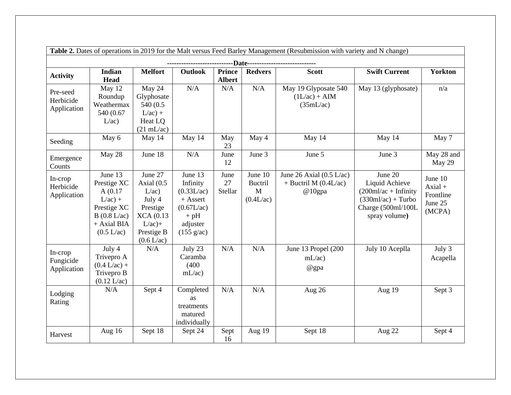|                                      | Table 2. Dates of operations in 2019 for the Malt versus Feed Barley Management (Resubmission with variety and N change) |                                                                                                                         |                                                                                                             |                                |                                             |                                                                         |                                                                                                                     |                                                        |  |  |  |  |
|--------------------------------------|--------------------------------------------------------------------------------------------------------------------------|-------------------------------------------------------------------------------------------------------------------------|-------------------------------------------------------------------------------------------------------------|--------------------------------|---------------------------------------------|-------------------------------------------------------------------------|---------------------------------------------------------------------------------------------------------------------|--------------------------------------------------------|--|--|--|--|
|                                      |                                                                                                                          |                                                                                                                         |                                                                                                             |                                |                                             |                                                                         |                                                                                                                     |                                                        |  |  |  |  |
| <b>Activity</b>                      | <b>Indian</b><br><b>Head</b>                                                                                             | <b>Melfort</b>                                                                                                          | <b>Outlook</b>                                                                                              | <b>Prince</b><br><b>Albert</b> | <b>Redvers</b>                              | <b>Scott</b>                                                            | <b>Swift Current</b>                                                                                                | <b>Yorkton</b>                                         |  |  |  |  |
| Pre-seed<br>Herbicide<br>Application | May 12<br>Roundup<br>Weathermax<br>540 (0.67)<br>L/ac)                                                                   | May 24<br>Glyphosate<br>540 (0.5)<br>$L/ac$ ) +<br>Heat LQ<br>$(21 \text{ mL/ac})$                                      | N/A                                                                                                         | N/A                            | N/A                                         | May 19 Glyposate 540<br>$(1L/ac) + AIM$<br>(35mL/ac)                    | May 13 (glyphosate)                                                                                                 | n/a                                                    |  |  |  |  |
| Seeding                              | May 6                                                                                                                    | May 14                                                                                                                  | May 14                                                                                                      | May<br>23                      | May 4                                       | May 14                                                                  | May 14                                                                                                              | May 7                                                  |  |  |  |  |
| Emergence<br>Counts                  | May 28                                                                                                                   | June 18                                                                                                                 | N/A                                                                                                         | June<br>12                     | June 3                                      | June 5                                                                  | June 3                                                                                                              | May 28 and<br>May 29                                   |  |  |  |  |
| In-crop<br>Herbicide<br>Application  | June 13<br>Prestige XC<br>A(0.17)<br>$L/ac$ ) +<br>Prestige XC<br>B(0.8 L/ac)<br>+ Axial BIA<br>(0.5 L/ac)               | June 27<br>Axial $(0.5)$<br>L/ac)<br>July 4<br>Prestige<br><b>XCA</b> (0.13)<br>$L/ac$ )+<br>Prestige B<br>$(0.6$ L/ac) | June 13<br>Infinity<br>(0.33L/ac)<br>$+$ Assert<br>(0.67L/ac)<br>$+$ pH<br>adjuster<br>$(155 \text{ g/ac})$ | June<br>27<br>Stellar          | June 10<br><b>Buctril</b><br>M<br>(0.4L/ac) | June 26 Axial $(0.5 \text{ L/ac})$<br>$+$ Buctril M (0.4L/ac)<br>@10gpa | June 20<br>Liquid Achieve<br>$(200ml/ac + Infinity)$<br>$(330ml/ac) + Turbo$<br>Charge (500ml/100L<br>spray volume) | June 10<br>$Axial +$<br>Frontline<br>June 25<br>(MCPA) |  |  |  |  |
| In-crop<br>Fungicide<br>Application  | July 4<br>Trivepro A<br>$(0.4 L/ac) +$<br>Trivepro B<br>$(0.12 \text{ L/ac})$                                            | N/A                                                                                                                     | July 23<br>Caramba<br>(400)<br>mL/ac                                                                        | N/A                            | N/A                                         | June 13 Propel (200<br>mL/ac<br>@gpa                                    | July 10 Aceplla                                                                                                     | July 3<br>Acapella                                     |  |  |  |  |
| Lodging<br>Rating                    | N/A                                                                                                                      | Sept 4                                                                                                                  | Completed<br>as<br>treatments<br>matured<br>individually                                                    | N/A                            | N/A                                         | Aug 26                                                                  | Aug 19                                                                                                              | Sept 3                                                 |  |  |  |  |
| Harvest                              | Aug 16                                                                                                                   | Sept 18                                                                                                                 | Sept 24                                                                                                     | Sept<br>16                     | Aug 19                                      | Sept 18                                                                 | Aug 22                                                                                                              | Sept 4                                                 |  |  |  |  |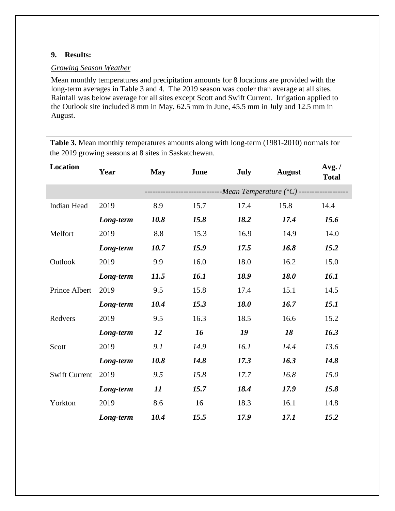#### **9. Results:**

#### *Growing Season Weather*

Mean monthly temperatures and precipitation amounts for 8 locations are provided with the long-term averages in Table 3 and 4. The 2019 season was cooler than average at all sites. Rainfall was below average for all sites except Scott and Swift Current. Irrigation applied to the Outlook site included 8 mm in May, 62.5 mm in June, 45.5 mm in July and 12.5 mm in August.

**Table 3.** Mean monthly temperatures amounts along with long-term (1981-2010) normals for the 2019 growing seasons at 8 sites in Saskatchewan.

| <b>Location</b>      | Year      | May  | June | <b>July</b> | <b>August</b>                                                 | Avg. /<br><b>Total</b> |
|----------------------|-----------|------|------|-------------|---------------------------------------------------------------|------------------------|
|                      |           |      |      |             | ------------ <i>Mean Temperature</i> (°C) ------------------- |                        |
| <b>Indian Head</b>   | 2019      | 8.9  | 15.7 | 17.4        | 15.8                                                          | 14.4                   |
|                      | Long-term | 10.8 | 15.8 | 18.2        | 17.4                                                          | 15.6                   |
| Melfort              | 2019      | 8.8  | 15.3 | 16.9        | 14.9                                                          | 14.0                   |
|                      | Long-term | 10.7 | 15.9 | 17.5        | 16.8                                                          | 15.2                   |
| Outlook              | 2019      | 9.9  | 16.0 | 18.0        | 16.2                                                          | 15.0                   |
|                      | Long-term | 11.5 | 16.1 | 18.9        | 18.0                                                          | 16.1                   |
| Prince Albert        | 2019      | 9.5  | 15.8 | 17.4        | 15.1                                                          | 14.5                   |
|                      | Long-term | 10.4 | 15.3 | 18.0        | 16.7                                                          | <i>15.1</i>            |
| Redvers              | 2019      | 9.5  | 16.3 | 18.5        | 16.6                                                          | 15.2                   |
|                      | Long-term | 12   | 16   | 19          | 18                                                            | 16.3                   |
| Scott                | 2019      | 9.1  | 14.9 | 16.1        | 14.4                                                          | 13.6                   |
|                      | Long-term | 10.8 | 14.8 | 17.3        | 16.3                                                          | 14.8                   |
| <b>Swift Current</b> | 2019      | 9.5  | 15.8 | 17.7        | 16.8                                                          | 15.0                   |
|                      | Long-term | 11   | 15.7 | 18.4        | 17.9                                                          | 15.8                   |
| Yorkton              | 2019      | 8.6  | 16   | 18.3        | 16.1                                                          | 14.8                   |
|                      | Long-term | 10.4 | 15.5 | 17.9        | 17.1                                                          | 15.2                   |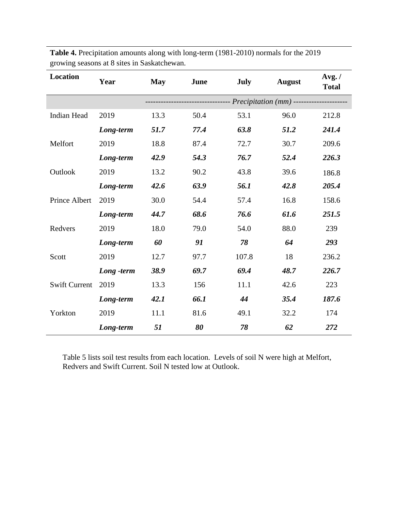| Location             | Year       | <b>May</b> | June | <b>July</b> | <b>August</b>                                                         | Avg. /<br><b>Total</b> |
|----------------------|------------|------------|------|-------------|-----------------------------------------------------------------------|------------------------|
|                      |            |            |      |             | ---------------------- <i>Precipitation</i> (mm) -------------------- |                        |
| <b>Indian Head</b>   | 2019       | 13.3       | 50.4 | 53.1        | 96.0                                                                  | 212.8                  |
|                      | Long-term  | 51.7       | 77.4 | 63.8        | 51.2                                                                  | 241.4                  |
| Melfort              | 2019       | 18.8       | 87.4 | 72.7        | 30.7                                                                  | 209.6                  |
|                      | Long-term  | 42.9       | 54.3 | 76.7        | 52.4                                                                  | 226.3                  |
| Outlook              | 2019       | 13.2       | 90.2 | 43.8        | 39.6                                                                  | 186.8                  |
|                      | Long-term  | 42.6       | 63.9 | 56.1        | 42.8                                                                  | 205.4                  |
| Prince Albert        | 2019       | 30.0       | 54.4 | 57.4        | 16.8                                                                  | 158.6                  |
|                      | Long-term  | 44.7       | 68.6 | 76.6        | 61.6                                                                  | 251.5                  |
| Redvers              | 2019       | 18.0       | 79.0 | 54.0        | 88.0                                                                  | 239                    |
|                      | Long-term  | 60         | 91   | 78          | 64                                                                    | 293                    |
| Scott                | 2019       | 12.7       | 97.7 | 107.8       | 18                                                                    | 236.2                  |
|                      | Long -term | 38.9       | 69.7 | 69.4        | 48.7                                                                  | 226.7                  |
| <b>Swift Current</b> | 2019       | 13.3       | 156  | 11.1        | 42.6                                                                  | 223                    |
|                      | Long-term  | 42.1       | 66.1 | 44          | 35.4                                                                  | 187.6                  |
| Yorkton              | 2019       | 11.1       | 81.6 | 49.1        | 32.2                                                                  | 174                    |
|                      | Long-term  | 51         | 80   | 78          | 62                                                                    | 272                    |

**Table 4.** Precipitation amounts along with long-term (1981-2010) normals for the 2019 growing seasons at 8 sites in Saskatchewan.

Table 5 lists soil test results from each location. Levels of soil N were high at Melfort, Redvers and Swift Current. Soil N tested low at Outlook.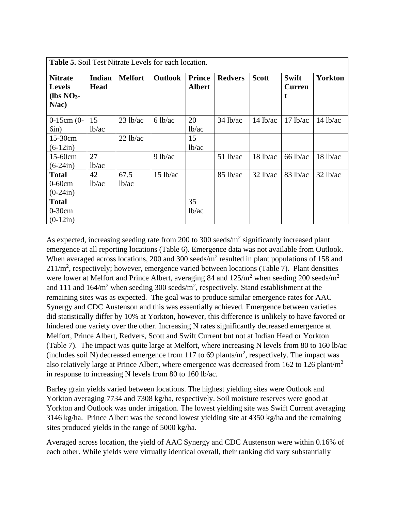| <b>Table 5.</b> Soil Test Nitrate Levels for each location. |                       |                            |                   |                                |                |              |                                    |                |  |  |
|-------------------------------------------------------------|-----------------------|----------------------------|-------------------|--------------------------------|----------------|--------------|------------------------------------|----------------|--|--|
| <b>Nitrate</b><br><b>Levels</b><br>$(lbs NO3$ -<br>$N$ /ac) | Indian<br><b>Head</b> | <b>Melfort</b>             | <b>Outlook</b>    | <b>Prince</b><br><b>Albert</b> | <b>Redvers</b> | <b>Scott</b> | <b>Swift</b><br><b>Curren</b><br>t | <b>Yorkton</b> |  |  |
| $0-15$ cm $(0-$<br>6in)                                     | 15<br>lb/ac           | 23 lb/ac                   | $6 \text{ lb/ac}$ | 20<br>lb/ac                    | $34$ lb/ac     | $14$ lb/ac   | 17 lb/ac                           | $14$ lb/ac     |  |  |
| 15-30cm<br>$(6-12in)$                                       |                       | $22$ lb/ac                 |                   | 15<br>1 <sub>b</sub> /ac       |                |              |                                    |                |  |  |
| $15-60$ cm<br>$(6-24in)$                                    | 27<br>lb/ac           |                            | $9$ lb/ac         |                                | $51$ lb/ac     | 18 lb/ac     | $66$ lb/ac                         | $18$ lb/ac     |  |  |
| <b>Total</b><br>$0-60cm$<br>$(0-24in)$                      | 42<br>lb/ac           | 67.5<br>1 <sub>b</sub> /ac | $15$ lb/ac        |                                | $85$ lb/ac     | $32$ lb/ac   | $83$ lb/ac                         | $32$ lb/ac     |  |  |
| <b>Total</b><br>$0-30cm$<br>$(0-12in)$                      |                       |                            |                   | 35<br>lb/ac                    |                |              |                                    |                |  |  |

As expected, increasing seeding rate from 200 to 300 seeds/ $m<sup>2</sup>$  significantly increased plant emergence at all reporting locations (Table 6). Emergence data was not available from Outlook. When averaged across locations, 200 and 300 seeds/ $m<sup>2</sup>$  resulted in plant populations of 158 and  $211/m<sup>2</sup>$ , respectively; however, emergence varied between locations (Table 7). Plant densities were lower at Melfort and Prince Albert, averaging 84 and  $125/m^2$  when seeding 200 seeds/m<sup>2</sup> and 111 and  $164/m^2$  when seeding 300 seeds/m<sup>2</sup>, respectively. Stand establishment at the remaining sites was as expected. The goal was to produce similar emergence rates for AAC Synergy and CDC Austenson and this was essentially achieved. Emergence between varieties did statistically differ by 10% at Yorkton, however, this difference is unlikely to have favored or hindered one variety over the other. Increasing N rates significantly decreased emergence at Melfort, Prince Albert, Redvers, Scott and Swift Current but not at Indian Head or Yorkton (Table 7). The impact was quite large at Melfort, where increasing N levels from 80 to 160 lb/ac (includes soil N) decreased emergence from 117 to 69 plants/ $m<sup>2</sup>$ , respectively. The impact was also relatively large at Prince Albert, where emergence was decreased from 162 to 126 plant/m<sup>2</sup> in response to increasing N levels from 80 to 160 lb/ac.

Barley grain yields varied between locations. The highest yielding sites were Outlook and Yorkton averaging 7734 and 7308 kg/ha, respectively. Soil moisture reserves were good at Yorkton and Outlook was under irrigation. The lowest yielding site was Swift Current averaging 3146 kg/ha. Prince Albert was the second lowest yielding site at 4350 kg/ha and the remaining sites produced yields in the range of 5000 kg/ha.

Averaged across location, the yield of AAC Synergy and CDC Austenson were within 0.16% of each other. While yields were virtually identical overall, their ranking did vary substantially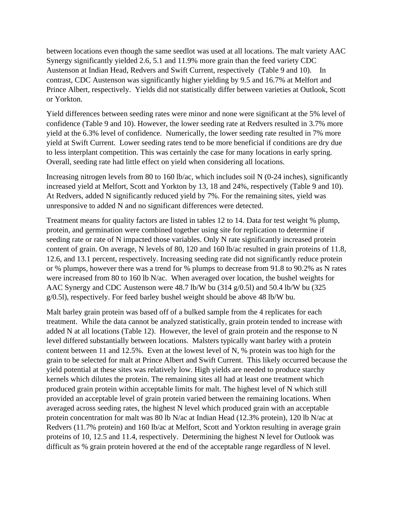between locations even though the same seedlot was used at all locations. The malt variety AAC Synergy significantly yielded 2.6, 5.1 and 11.9% more grain than the feed variety CDC Austenson at Indian Head, Redvers and Swift Current, respectively (Table 9 and 10). In contrast, CDC Austenson was significantly higher yielding by 9.5 and 16.7% at Melfort and Prince Albert, respectively. Yields did not statistically differ between varieties at Outlook, Scott or Yorkton.

Yield differences between seeding rates were minor and none were significant at the 5% level of confidence (Table 9 and 10). However, the lower seeding rate at Redvers resulted in 3.7% more yield at the 6.3% level of confidence. Numerically, the lower seeding rate resulted in 7% more yield at Swift Current. Lower seeding rates tend to be more beneficial if conditions are dry due to less interplant competition. This was certainly the case for many locations in early spring. Overall, seeding rate had little effect on yield when considering all locations.

Increasing nitrogen levels from 80 to 160 lb/ac, which includes soil N (0-24 inches), significantly increased yield at Melfort, Scott and Yorkton by 13, 18 and 24%, respectively (Table 9 and 10). At Redvers, added N significantly reduced yield by 7%. For the remaining sites, yield was unresponsive to added N and no significant differences were detected.

Treatment means for quality factors are listed in tables 12 to 14. Data for test weight % plump, protein, and germination were combined together using site for replication to determine if seeding rate or rate of N impacted those variables. Only N rate significantly increased protein content of grain. On average, N levels of 80, 120 and 160 lb/ac resulted in grain proteins of 11.8, 12.6, and 13.1 percent, respectively. Increasing seeding rate did not significantly reduce protein or % plumps, however there was a trend for % plumps to decrease from 91.8 to 90.2% as N rates were increased from 80 to 160 lb N/ac. When averaged over location, the bushel weights for AAC Synergy and CDC Austenson were 48.7 lb/W bu (314 g/0.5l) and 50.4 lb/W bu (325 g/0.5l), respectively. For feed barley bushel weight should be above 48 lb/W bu.

Malt barley grain protein was based off of a bulked sample from the 4 replicates for each treatment. While the data cannot be analyzed statistically, grain protein tended to increase with added N at all locations (Table 12). However, the level of grain protein and the response to N level differed substantially between locations. Malsters typically want barley with a protein content between 11 and 12.5%. Even at the lowest level of N, % protein was too high for the grain to be selected for malt at Prince Albert and Swift Current. This likely occurred because the yield potential at these sites was relatively low. High yields are needed to produce starchy kernels which dilutes the protein. The remaining sites all had at least one treatment which produced grain protein within acceptable limits for malt. The highest level of N which still provided an acceptable level of grain protein varied between the remaining locations. When averaged across seeding rates, the highest N level which produced grain with an acceptable protein concentration for malt was 80 lb N/ac at Indian Head (12.3% protein), 120 lb N/ac at Redvers (11.7% protein) and 160 lb/ac at Melfort, Scott and Yorkton resulting in average grain proteins of 10, 12.5 and 11.4, respectively. Determining the highest N level for Outlook was difficult as % grain protein hovered at the end of the acceptable range regardless of N level.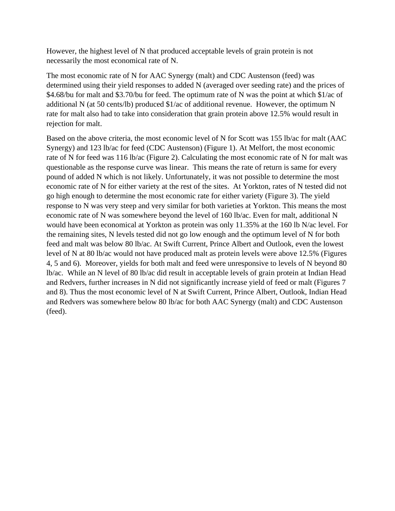However, the highest level of N that produced acceptable levels of grain protein is not necessarily the most economical rate of N.

The most economic rate of N for AAC Synergy (malt) and CDC Austenson (feed) was determined using their yield responses to added N (averaged over seeding rate) and the prices of \$4.68/bu for malt and \$3.70/bu for feed. The optimum rate of N was the point at which \$1/ac of additional N (at 50 cents/lb) produced \$1/ac of additional revenue. However, the optimum N rate for malt also had to take into consideration that grain protein above 12.5% would result in rejection for malt.

Based on the above criteria, the most economic level of N for Scott was 155 lb/ac for malt (AAC Synergy) and 123 lb/ac for feed (CDC Austenson) (Figure 1). At Melfort, the most economic rate of N for feed was 116 lb/ac (Figure 2). Calculating the most economic rate of N for malt was questionable as the response curve was linear. This means the rate of return is same for every pound of added N which is not likely. Unfortunately, it was not possible to determine the most economic rate of N for either variety at the rest of the sites. At Yorkton, rates of N tested did not go high enough to determine the most economic rate for either variety (Figure 3). The yield response to N was very steep and very similar for both varieties at Yorkton. This means the most economic rate of N was somewhere beyond the level of 160 lb/ac. Even for malt, additional N would have been economical at Yorkton as protein was only 11.35% at the 160 lb N/ac level. For the remaining sites, N levels tested did not go low enough and the optimum level of N for both feed and malt was below 80 lb/ac. At Swift Current, Prince Albert and Outlook, even the lowest level of N at 80 lb/ac would not have produced malt as protein levels were above 12.5% (Figures 4, 5 and 6). Moreover, yields for both malt and feed were unresponsive to levels of N beyond 80 lb/ac. While an N level of 80 lb/ac did result in acceptable levels of grain protein at Indian Head and Redvers, further increases in N did not significantly increase yield of feed or malt (Figures 7 and 8). Thus the most economic level of N at Swift Current, Prince Albert, Outlook, Indian Head and Redvers was somewhere below 80 lb/ac for both AAC Synergy (malt) and CDC Austenson (feed).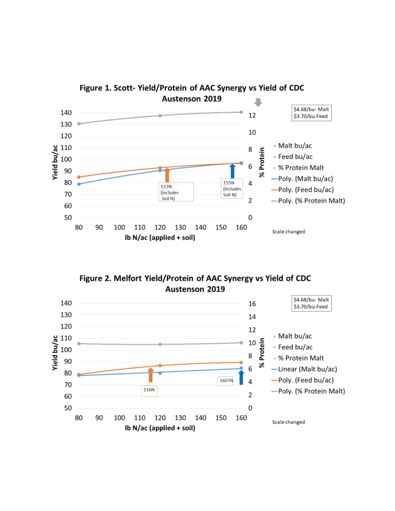

Figure 2. Melfort Yield/Protein of AAC Synergy vs Yield of CDC Austenson 2019

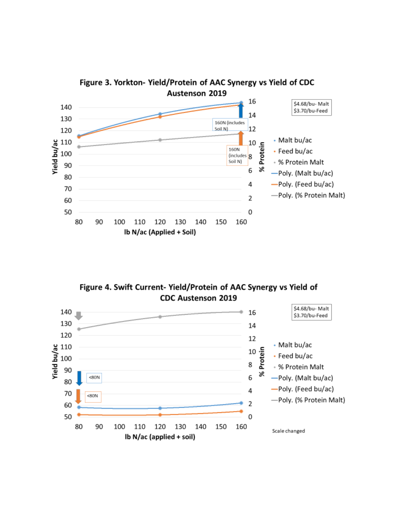

Figure 3. Yorkton-Yield/Protein of AAC Synergy vs Yield of CDC

Figure 4. Swift Current- Yield/Protein of AAC Synergy vs Yield of **CDC Austenson 2019** 

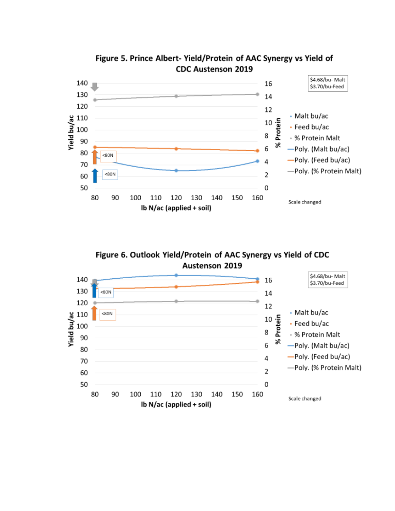

Figure 6. Outlook Yield/Protein of AAC Synergy vs Yield of CDC **Austenson 2019** 

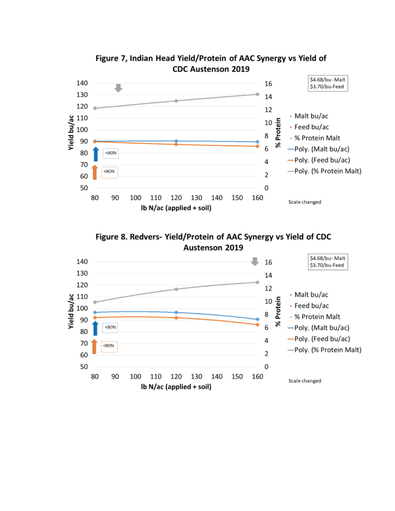



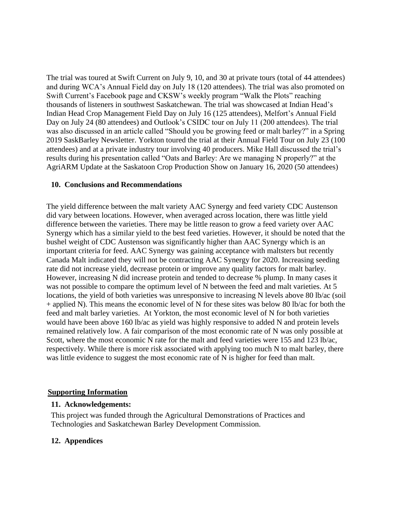The trial was toured at Swift Current on July 9, 10, and 30 at private tours (total of 44 attendees) and during WCA's Annual Field day on July 18 (120 attendees). The trial was also promoted on Swift Current's Facebook page and CKSW's weekly program "Walk the Plots" reaching thousands of listeners in southwest Saskatchewan. The trial was showcased at Indian Head's Indian Head Crop Management Field Day on July 16 (125 attendees), Melfort's Annual Field Day on July 24 (80 attendees) and Outlook's CSIDC tour on July 11 (200 attendees). The trial was also discussed in an article called "Should you be growing feed or malt barley?" in a Spring 2019 SaskBarley Newsletter. Yorkton toured the trial at their Annual Field Tour on July 23 (100 attendees) and at a private industry tour involving 40 producers. Mike Hall discussed the trial's results during his presentation called "Oats and Barley: Are we managing N properly?" at the AgriARM Update at the Saskatoon Crop Production Show on January 16, 2020 (50 attendees)

#### **10. Conclusions and Recommendations**

The yield difference between the malt variety AAC Synergy and feed variety CDC Austenson did vary between locations. However, when averaged across location, there was little yield difference between the varieties. There may be little reason to grow a feed variety over AAC Synergy which has a similar yield to the best feed varieties. However, it should be noted that the bushel weight of CDC Austenson was significantly higher than AAC Synergy which is an important criteria for feed. AAC Synergy was gaining acceptance with maltsters but recently Canada Malt indicated they will not be contracting AAC Synergy for 2020. Increasing seeding rate did not increase yield, decrease protein or improve any quality factors for malt barley. However, increasing N did increase protein and tended to decrease % plump. In many cases it was not possible to compare the optimum level of N between the feed and malt varieties. At 5 locations, the yield of both varieties was unresponsive to increasing N levels above 80 lb/ac (soil + applied N). This means the economic level of N for these sites was below 80 lb/ac for both the feed and malt barley varieties. At Yorkton, the most economic level of N for both varieties would have been above 160 lb/ac as yield was highly responsive to added N and protein levels remained relatively low. A fair comparison of the most economic rate of N was only possible at Scott, where the most economic N rate for the malt and feed varieties were 155 and 123 lb/ac, respectively. While there is more risk associated with applying too much N to malt barley, there was little evidence to suggest the most economic rate of N is higher for feed than malt.

#### **Supporting Information**

#### **11. Acknowledgements:**

This project was funded through the Agricultural Demonstrations of Practices and Technologies and Saskatchewan Barley Development Commission.

# **12. Appendices**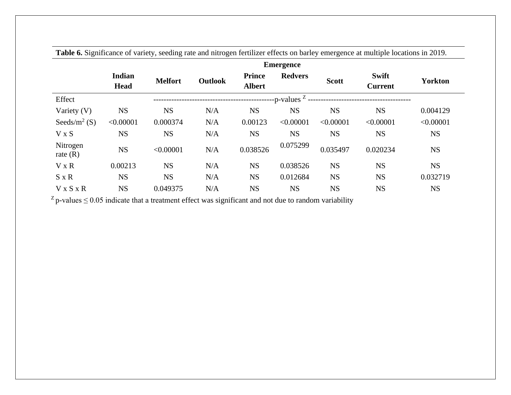|                          |                              |                |                |                                | <b>Emergence</b>       |              |                                |                |
|--------------------------|------------------------------|----------------|----------------|--------------------------------|------------------------|--------------|--------------------------------|----------------|
|                          | <b>Indian</b><br><b>Head</b> | <b>Melfort</b> | <b>Outlook</b> | <b>Prince</b><br><b>Albert</b> | <b>Redvers</b>         | <b>Scott</b> | <b>Swift</b><br><b>Current</b> | <b>Yorkton</b> |
| Effect                   |                              |                |                |                                | -p-values <sup>Z</sup> |              |                                |                |
| Variety (V)              | <b>NS</b>                    | <b>NS</b>      | N/A            | <b>NS</b>                      | <b>NS</b>              | <b>NS</b>    | <b>NS</b>                      | 0.004129       |
| Seeds/m <sup>2</sup> (S) | < 0.00001                    | 0.000374       | N/A            | 0.00123                        | < 0.00001              | < 0.00001    | < 0.00001                      | < 0.00001      |
| V x S                    | <b>NS</b>                    | <b>NS</b>      | N/A            | <b>NS</b>                      | <b>NS</b>              | <b>NS</b>    | <b>NS</b>                      | <b>NS</b>      |
| Nitrogen<br>rate $(R)$   | <b>NS</b>                    | < 0.00001      | N/A            | 0.038526                       | 0.075299               | 0.035497     | 0.020234                       | <b>NS</b>      |
| $V \times R$             | 0.00213                      | <b>NS</b>      | N/A            | <b>NS</b>                      | 0.038526               | <b>NS</b>    | <b>NS</b>                      | <b>NS</b>      |
| $S \times R$             | <b>NS</b>                    | <b>NS</b>      | N/A            | <b>NS</b>                      | 0.012684               | <b>NS</b>    | <b>NS</b>                      | 0.032719       |
| $V \times S \times R$    | <b>NS</b>                    | 0.049375       | N/A            | <b>NS</b>                      | <b>NS</b>              | <b>NS</b>    | <b>NS</b>                      | <b>NS</b>      |

**Table 6.** Significance of variety, seeding rate and nitrogen fertilizer effects on barley emergence at multiple locations in 2019.

 $Z$  p-values  $\leq$  0.05 indicate that a treatment effect was significant and not due to random variability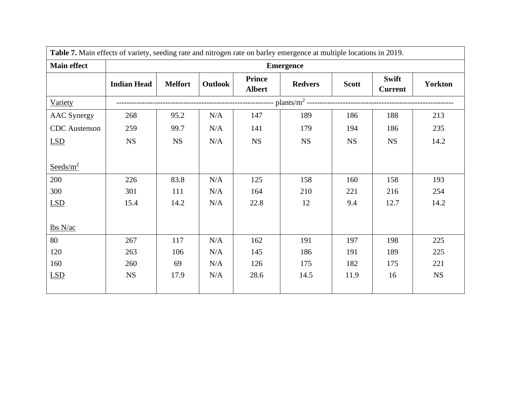| Table 7. Main effects of variety, seeding rate and nitrogen rate on barley emergence at multiple locations in 2019. |                    |                  |         |                                |                |              |                         |                |  |  |  |  |
|---------------------------------------------------------------------------------------------------------------------|--------------------|------------------|---------|--------------------------------|----------------|--------------|-------------------------|----------------|--|--|--|--|
| <b>Main effect</b>                                                                                                  |                    | <b>Emergence</b> |         |                                |                |              |                         |                |  |  |  |  |
|                                                                                                                     | <b>Indian Head</b> | <b>Melfort</b>   | Outlook | <b>Prince</b><br><b>Albert</b> | <b>Redvers</b> | <b>Scott</b> | Swift<br><b>Current</b> | <b>Yorkton</b> |  |  |  |  |
| Variety                                                                                                             |                    |                  |         |                                |                |              |                         |                |  |  |  |  |
| <b>AAC</b> Synergy                                                                                                  | 268                | 95.2             | N/A     | 147                            | 189            | 186          | 188                     | 213            |  |  |  |  |
| <b>CDC</b> Austenson                                                                                                | 259                | 99.7             | N/A     | 141                            | 179            | 194          | 186                     | 235            |  |  |  |  |
| <b>LSD</b>                                                                                                          | <b>NS</b>          | <b>NS</b>        | N/A     | <b>NS</b>                      | <b>NS</b>      | <b>NS</b>    | <b>NS</b>               | 14.2           |  |  |  |  |
|                                                                                                                     |                    |                  |         |                                |                |              |                         |                |  |  |  |  |
| Seeds/ $m^2$                                                                                                        |                    |                  |         |                                |                |              |                         |                |  |  |  |  |
| 200                                                                                                                 | 226                | 83.8             | N/A     | 125                            | 158            | 160          | 158                     | 193            |  |  |  |  |
| 300                                                                                                                 | 301                | 111              | N/A     | 164                            | 210            | 221          | 216                     | 254            |  |  |  |  |
| LSD                                                                                                                 | 15.4               | 14.2             | N/A     | 22.8                           | 12             | 9.4          | 12.7                    | 14.2           |  |  |  |  |
|                                                                                                                     |                    |                  |         |                                |                |              |                         |                |  |  |  |  |
| lbs N/ac                                                                                                            |                    |                  |         |                                |                |              |                         |                |  |  |  |  |
| 80                                                                                                                  | 267                | 117              | N/A     | 162                            | 191            | 197          | 198                     | 225            |  |  |  |  |
| 120                                                                                                                 | 263                | 106              | N/A     | 145                            | 186            | 191          | 189                     | 225            |  |  |  |  |
| 160                                                                                                                 | 260                | 69               | N/A     | 126                            | 175            | 182          | 175                     | 221            |  |  |  |  |
| <b>LSD</b>                                                                                                          | <b>NS</b>          | 17.9             | N/A     | 28.6                           | 14.5           | 11.9         | 16                      | <b>NS</b>      |  |  |  |  |
|                                                                                                                     |                    |                  |         |                                |                |              |                         |                |  |  |  |  |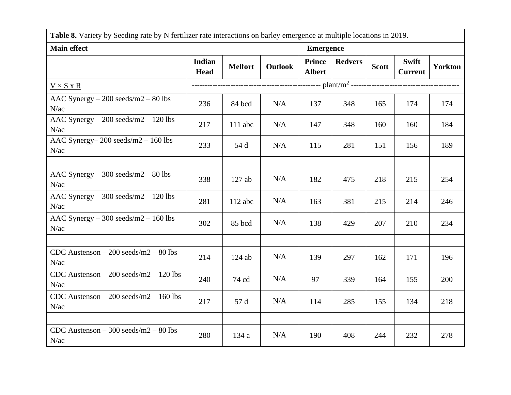| Table 8. Variety by Seeding rate by N fertilizer rate interactions on barley emergence at multiple locations in 2019. |                       |                |                |                                |                |              |                                |                |  |
|-----------------------------------------------------------------------------------------------------------------------|-----------------------|----------------|----------------|--------------------------------|----------------|--------------|--------------------------------|----------------|--|
| <b>Main effect</b>                                                                                                    |                       |                |                | <b>Emergence</b>               |                |              |                                |                |  |
|                                                                                                                       | Indian<br><b>Head</b> | <b>Melfort</b> | <b>Outlook</b> | <b>Prince</b><br><b>Albert</b> | <b>Redvers</b> | <b>Scott</b> | <b>Swift</b><br><b>Current</b> | <b>Yorkton</b> |  |
| $V \times S \times R$                                                                                                 |                       |                |                |                                |                |              |                                |                |  |
| AAC Synergy $-200$ seeds/m2 $-80$ lbs<br>N/ac                                                                         | 236                   | 84 bcd         | N/A            | 137                            | 348            | 165          | 174                            | 174            |  |
| AAC Synergy $-200$ seeds/m2 $-120$ lbs<br>N/ac                                                                        | 217                   | $111$ abc      | N/A            | 147                            | 348            | 160          | 160                            | 184            |  |
| AAC Synergy- $200$ seeds/m $2 - 160$ lbs<br>N/ac                                                                      | 233                   | 54 d           | N/A            | 115                            | 281            | 151          | 156                            | 189            |  |
|                                                                                                                       |                       |                |                |                                |                |              |                                |                |  |
| AAC Synergy $-300$ seeds/m2 $-80$ lbs<br>N/ac                                                                         | 338                   | $127$ ab       | N/A            | 182                            | 475            | 218          | 215                            | 254            |  |
| AAC Synergy $-300$ seeds/m2 $-120$ lbs<br>N/ac                                                                        | 281                   | $112$ abc      | N/A            | 163                            | 381            | 215          | 214                            | 246            |  |
| AAC Synergy $-300$ seeds/m2 $-160$ lbs<br>N/ac                                                                        | 302                   | 85 bcd         | N/A            | 138                            | 429            | 207          | 210                            | 234            |  |
|                                                                                                                       |                       |                |                |                                |                |              |                                |                |  |
| CDC Austenson $-200$ seeds/m2 $-80$ lbs<br>N/ac                                                                       | 214                   | $124$ ab       | N/A            | 139                            | 297            | 162          | 171                            | 196            |  |
| CDC Austenson $-200$ seeds/m2 $-120$ lbs<br>N/ac                                                                      | 240                   | 74 cd          | N/A            | 97                             | 339            | 164          | 155                            | 200            |  |
| CDC Austenson $-200$ seeds/m2 $-160$ lbs<br>N/ac                                                                      | 217                   | 57 d           | N/A            | 114                            | 285            | 155          | 134                            | 218            |  |
|                                                                                                                       |                       |                |                |                                |                |              |                                |                |  |
| CDC Austenson $-300$ seeds/m2 $-80$ lbs<br>N/ac                                                                       | 280                   | 134 a          | N/A            | 190                            | 408            | 244          | 232                            | 278            |  |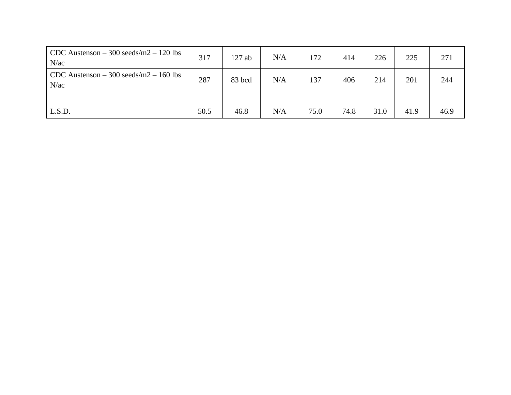| CDC Austenson $-300$ seeds/m2 $-120$ lbs<br>N/ac | 317  | 127 ab | N/A | 172  | 414  | 226  | 225  | 271  |
|--------------------------------------------------|------|--------|-----|------|------|------|------|------|
| CDC Austenson $-300$ seeds/m2 $-160$ lbs<br>N/ac | 287  | 83 bcd | N/A | 137  | 406  | 214  | 201  | 244  |
|                                                  |      |        |     |      |      |      |      |      |
| L.S.D.                                           | 50.5 | 46.8   | N/A | 75.0 | 74.8 | 31.0 | 41.9 | 46.9 |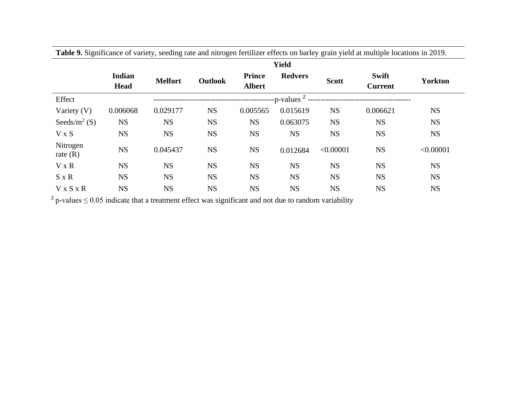|                          |                       |                |                |                                | <b>Yield</b>            |              |                                |                |
|--------------------------|-----------------------|----------------|----------------|--------------------------------|-------------------------|--------------|--------------------------------|----------------|
|                          | Indian<br><b>Head</b> | <b>Melfort</b> | <b>Outlook</b> | <b>Prince</b><br><b>Albert</b> | <b>Redvers</b>          | <b>Scott</b> | <b>Swift</b><br><b>Current</b> | <b>Yorkton</b> |
| Effect                   |                       |                |                |                                | --p-values <sup>Z</sup> |              |                                |                |
| Variety $(V)$            | 0.006068              | 0.029177       | <b>NS</b>      | 0.005565                       | 0.015619                | <b>NS</b>    | 0.006621                       | <b>NS</b>      |
| Seeds/m <sup>2</sup> (S) | <b>NS</b>             | <b>NS</b>      | <b>NS</b>      | <b>NS</b>                      | 0.063075                | <b>NS</b>    | <b>NS</b>                      | <b>NS</b>      |
| V X S                    | <b>NS</b>             | <b>NS</b>      | <b>NS</b>      | <b>NS</b>                      | <b>NS</b>               | <b>NS</b>    | <b>NS</b>                      | <b>NS</b>      |
| Nitrogen<br>rate $(R)$   | <b>NS</b>             | 0.045437       | <b>NS</b>      | <b>NS</b>                      | 0.012684                | < 0.00001    | <b>NS</b>                      | < 0.00001      |
| V x R                    | <b>NS</b>             | <b>NS</b>      | <b>NS</b>      | <b>NS</b>                      | <b>NS</b>               | <b>NS</b>    | <b>NS</b>                      | <b>NS</b>      |
| $S \times R$             | <b>NS</b>             | <b>NS</b>      | <b>NS</b>      | <b>NS</b>                      | <b>NS</b>               | <b>NS</b>    | <b>NS</b>                      | <b>NS</b>      |
| V x S x R                | <b>NS</b>             | <b>NS</b>      | <b>NS</b>      | <b>NS</b>                      | <b>NS</b>               | <b>NS</b>    | <b>NS</b>                      | <b>NS</b>      |

**Table 9.** Significance of variety, seeding rate and nitrogen fertilizer effects on barley grain yield at multiple locations in 2019.

 $Z$  p-values  $\leq$  0.05 indicate that a treatment effect was significant and not due to random variability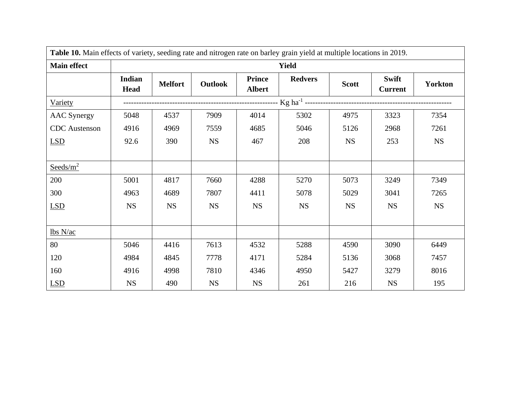| Table 10. Main effects of variety, seeding rate and nitrogen rate on barley grain yield at multiple locations in 2019. |                              |                |           |                                |                |              |                         |                |  |  |  |
|------------------------------------------------------------------------------------------------------------------------|------------------------------|----------------|-----------|--------------------------------|----------------|--------------|-------------------------|----------------|--|--|--|
| <b>Main effect</b>                                                                                                     |                              |                |           |                                | <b>Yield</b>   |              |                         |                |  |  |  |
|                                                                                                                        | <b>Indian</b><br><b>Head</b> | <b>Melfort</b> | Outlook   | <b>Prince</b><br><b>Albert</b> | <b>Redvers</b> | <b>Scott</b> | Swift<br><b>Current</b> | <b>Yorkton</b> |  |  |  |
| <b>Variety</b>                                                                                                         |                              |                |           |                                |                |              |                         |                |  |  |  |
| <b>AAC</b> Synergy                                                                                                     | 5048                         | 4537           | 7909      | 4014                           | 5302           | 4975         | 3323                    | 7354           |  |  |  |
| <b>CDC</b> Austenson                                                                                                   | 4916                         | 4969           | 7559      | 4685                           | 5046           | 5126         | 2968                    | 7261           |  |  |  |
| LSD                                                                                                                    | 92.6                         | 390            | <b>NS</b> | 467                            | 208            | <b>NS</b>    | 253                     | <b>NS</b>      |  |  |  |
|                                                                                                                        |                              |                |           |                                |                |              |                         |                |  |  |  |
| $S{\text{eeds/m}}^2$                                                                                                   |                              |                |           |                                |                |              |                         |                |  |  |  |
| 200                                                                                                                    | 5001                         | 4817           | 7660      | 4288                           | 5270           | 5073         | 3249                    | 7349           |  |  |  |
| 300                                                                                                                    | 4963                         | 4689           | 7807      | 4411                           | 5078           | 5029         | 3041                    | 7265           |  |  |  |
| <b>LSD</b>                                                                                                             | <b>NS</b>                    | <b>NS</b>      | <b>NS</b> | <b>NS</b>                      | <b>NS</b>      | <b>NS</b>    | <b>NS</b>               | <b>NS</b>      |  |  |  |
|                                                                                                                        |                              |                |           |                                |                |              |                         |                |  |  |  |
| lbs N/ac                                                                                                               |                              |                |           |                                |                |              |                         |                |  |  |  |
| 80                                                                                                                     | 5046                         | 4416           | 7613      | 4532                           | 5288           | 4590         | 3090                    | 6449           |  |  |  |
| 120                                                                                                                    | 4984                         | 4845           | 7778      | 4171                           | 5284           | 5136         | 3068                    | 7457           |  |  |  |
| 160                                                                                                                    | 4916                         | 4998           | 7810      | 4346                           | 4950           | 5427         | 3279                    | 8016           |  |  |  |
| LSD                                                                                                                    | <b>NS</b>                    | 490            | <b>NS</b> | <b>NS</b>                      | 261            | 216          | <b>NS</b>               | 195            |  |  |  |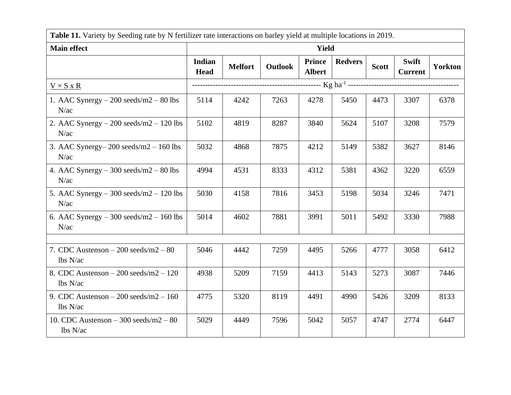|                                                     | Table 11. Variety by Seeding rate by N fertilizer rate interactions on barley yield at multiple locations in 2019. |                |         |                         |                |              |                         |                |  |
|-----------------------------------------------------|--------------------------------------------------------------------------------------------------------------------|----------------|---------|-------------------------|----------------|--------------|-------------------------|----------------|--|
| <b>Main effect</b>                                  |                                                                                                                    |                |         | <b>Yield</b>            |                |              |                         |                |  |
|                                                     | Indian<br><b>Head</b>                                                                                              | <b>Melfort</b> | Outlook | Prince<br><b>Albert</b> | <b>Redvers</b> | <b>Scott</b> | Swift<br><b>Current</b> | <b>Yorkton</b> |  |
| $V \times S \times R$                               |                                                                                                                    |                |         |                         |                |              |                         |                |  |
| 1. AAC Synergy $-200$ seeds/m2 $-80$ lbs<br>N/ac    | 5114                                                                                                               | 4242           | 7263    | 4278                    | 5450           | 4473         | 3307                    | 6378           |  |
| 2. AAC Synergy $-200$ seeds/m2 $-120$ lbs<br>N/ac   | 5102                                                                                                               | 4819           | 8287    | 3840                    | 5624           | 5107         | 3208                    | 7579           |  |
| 3. AAC Synergy- $200$ seeds/m2 - 160 lbs<br>N/ac    | 5032                                                                                                               | 4868           | 7875    | 4212                    | 5149           | 5382         | 3627                    | 8146           |  |
| 4. AAC Synergy $-300$ seeds/m2 $-80$ lbs<br>N/ac    | 4994                                                                                                               | 4531           | 8333    | 4312                    | 5381           | 4362         | 3220                    | 6559           |  |
| 5. AAC Synergy $-300$ seeds/m2 $-120$ lbs<br>N/ac   | 5030                                                                                                               | 4158           | 7816    | 3453                    | 5198           | 5034         | 3246                    | 7471           |  |
| 6. AAC Synergy $-300$ seeds/m2 $-160$ lbs<br>N/ac   | 5014                                                                                                               | 4602           | 7881    | 3991                    | 5011           | 5492         | 3330                    | 7988           |  |
|                                                     |                                                                                                                    |                |         |                         |                |              |                         |                |  |
| 7. CDC Austenson $-200$ seeds/m2 $-80$<br>lbs N/ac  | 5046                                                                                                               | 4442           | 7259    | 4495                    | 5266           | 4777         | 3058                    | 6412           |  |
| 8. CDC Austenson $-200$ seeds/m2 $-120$<br>lbs N/ac | 4938                                                                                                               | 5209           | 7159    | 4413                    | 5143           | 5273         | 3087                    | 7446           |  |
| 9. CDC Austenson $-200$ seeds/m2 $-160$<br>lbs N/ac | 4775                                                                                                               | 5320           | 8119    | 4491                    | 4990           | 5426         | 3209                    | 8133           |  |
| 10. CDC Austenson $-300$ seeds/m2 $-80$<br>lbs N/ac | 5029                                                                                                               | 4449           | 7596    | 5042                    | 5057           | 4747         | 2774                    | 6447           |  |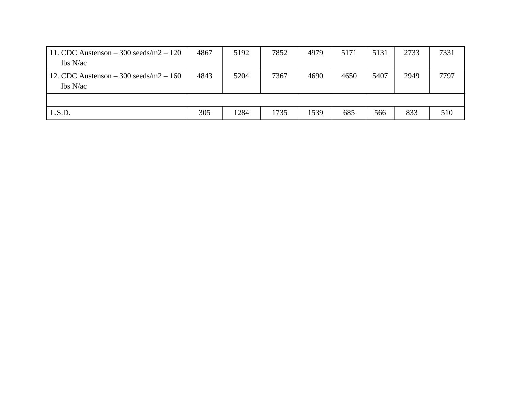| 11. CDC Austenson $-300$ seeds/m2 $-120$<br>lbs N/ac | 4867 | 5192 | 7852 | 4979 | 5171 | 5131 | 2733 | 7331 |
|------------------------------------------------------|------|------|------|------|------|------|------|------|
| 12. CDC Austenson $-300$ seeds/m2 $-160$<br>lbs N/ac | 4843 | 5204 | 7367 | 4690 | 4650 | 5407 | 2949 | 7797 |
|                                                      |      |      |      |      |      |      |      |      |
| L.S.D.                                               | 305  | 1284 | 1735 | 1539 | 685  | 566  | 833  | 510  |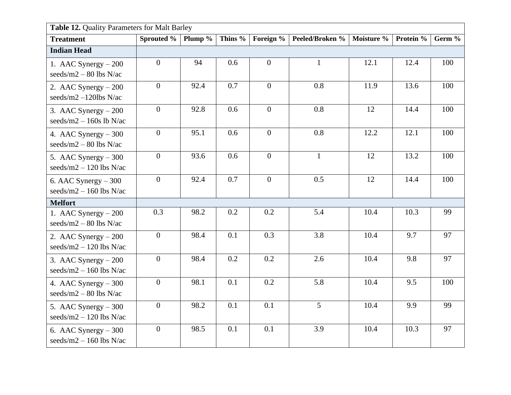| Table 12. Quality Parameters for Malt Barley       |                |         |         |                           |                 |            |           |        |  |  |  |
|----------------------------------------------------|----------------|---------|---------|---------------------------|-----------------|------------|-----------|--------|--|--|--|
| <b>Treatment</b>                                   | Sprouted %     | Plump % | Thins % | Foreign $\sqrt[6]{\cdot}$ | Peeled/Broken % | Moisture % | Protein % | Germ % |  |  |  |
| <b>Indian Head</b>                                 |                |         |         |                           |                 |            |           |        |  |  |  |
| 1. AAC Synergy $-200$<br>seeds/m2 $-$ 80 lbs N/ac  | $\overline{0}$ | 94      | 0.6     | $\overline{0}$            | $\mathbf{1}$    | 12.1       | 12.4      | 100    |  |  |  |
| 2. AAC Synergy $-200$<br>seeds/m2 $-120$ lbs N/ac  | $\mathbf{0}$   | 92.4    | 0.7     | $\overline{0}$            | 0.8             | 11.9       | 13.6      | 100    |  |  |  |
| 3. AAC Synergy $-200$<br>seeds/m2 $-$ 160s lb N/ac | $\overline{0}$ | 92.8    | 0.6     | $\overline{0}$            | 0.8             | 12         | 14.4      | 100    |  |  |  |
| 4. AAC Synergy $-300$<br>seeds/m2 $-$ 80 lbs N/ac  | $\overline{0}$ | 95.1    | 0.6     | $\overline{0}$            | 0.8             | 12.2       | 12.1      | 100    |  |  |  |
| 5. AAC Synergy $-300$<br>seeds/m2 $-$ 120 lbs N/ac | $\mathbf{0}$   | 93.6    | 0.6     | $\overline{0}$            | $\mathbf{1}$    | 12         | 13.2      | 100    |  |  |  |
| 6. AAC Synergy $-300$<br>seeds/m2 $-$ 160 lbs N/ac | $\mathbf{0}$   | 92.4    | 0.7     | $\overline{0}$            | 0.5             | 12         | 14.4      | 100    |  |  |  |
| <b>Melfort</b>                                     |                |         |         |                           |                 |            |           |        |  |  |  |
| 1. AAC Synergy $-200$<br>seeds/m2 $-$ 80 lbs N/ac  | 0.3            | 98.2    | 0.2     | 0.2                       | 5.4             | 10.4       | 10.3      | 99     |  |  |  |
| 2. AAC Synergy $-200$<br>seeds/m2 $-$ 120 lbs N/ac | $\overline{0}$ | 98.4    | 0.1     | 0.3                       | 3.8             | 10.4       | 9.7       | 97     |  |  |  |
| 3. AAC Synergy $-200$<br>seeds/m2 $-$ 160 lbs N/ac | $\overline{0}$ | 98.4    | 0.2     | 0.2                       | 2.6             | 10.4       | 9.8       | 97     |  |  |  |
| 4. AAC Synergy $-300$<br>seeds/m2 $-$ 80 lbs N/ac  | $\mathbf{0}$   | 98.1    | 0.1     | 0.2                       | 5.8             | 10.4       | 9.5       | 100    |  |  |  |
| 5. AAC Synergy $-300$<br>seeds/m2 $-$ 120 lbs N/ac | $\overline{0}$ | 98.2    | 0.1     | 0.1                       | 5               | 10.4       | 9.9       | 99     |  |  |  |
| 6. AAC Synergy $-300$<br>seeds/m2 $-$ 160 lbs N/ac | $\mathbf{0}$   | 98.5    | 0.1     | 0.1                       | 3.9             | 10.4       | 10.3      | 97     |  |  |  |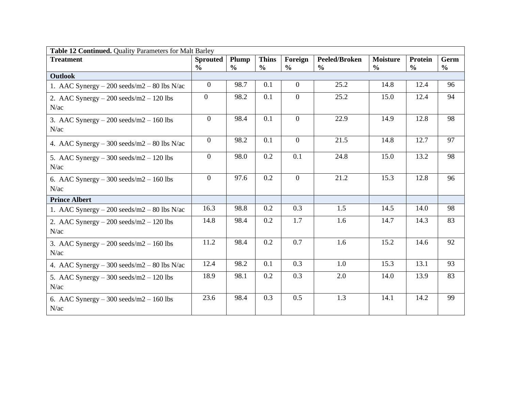| Table 12 Continued. Quality Parameters for Malt Barley |                 |               |               |                |               |                 |               |               |  |  |  |
|--------------------------------------------------------|-----------------|---------------|---------------|----------------|---------------|-----------------|---------------|---------------|--|--|--|
| <b>Treatment</b>                                       | <b>Sprouted</b> | Plump         | <b>Thins</b>  | Foreign        | Peeled/Broken | <b>Moisture</b> | Protein       | Germ          |  |  |  |
|                                                        | $\frac{0}{0}$   | $\frac{0}{0}$ | $\frac{0}{0}$ | $\frac{0}{0}$  | $\frac{6}{6}$ | $\frac{0}{0}$   | $\frac{0}{0}$ | $\frac{0}{0}$ |  |  |  |
| <b>Outlook</b>                                         |                 |               |               |                |               |                 |               |               |  |  |  |
| 1. AAC Synergy $-200$ seeds/m2 $-80$ lbs N/ac          | $\theta$        | 98.7          | 0.1           | $\overline{0}$ | 25.2          | 14.8            | 12.4          | 96            |  |  |  |
| 2. AAC Synergy $-200$ seeds/m2 $-120$ lbs              | $\overline{0}$  | 98.2          | 0.1           | $\Omega$       | 25.2          | 15.0            | 12.4          | 94            |  |  |  |
| N/ac                                                   |                 |               |               |                |               |                 |               |               |  |  |  |
| 3. AAC Synergy $-200$ seeds/m2 $-160$ lbs              | $\overline{0}$  | 98.4          | 0.1           | $\overline{0}$ | 22.9          | 14.9            | 12.8          | 98            |  |  |  |
| N/ac                                                   |                 |               |               |                |               |                 |               |               |  |  |  |
| 4. AAC Synergy $-300$ seeds/m2 $-80$ lbs N/ac          | $\theta$        | 98.2          | 0.1           | $\overline{0}$ | 21.5          | 14.8            | 12.7          | 97            |  |  |  |
| 5. AAC Synergy $-300$ seeds/m2 $-120$ lbs              | $\overline{0}$  | 98.0          | 0.2           | 0.1            | 24.8          | 15.0            | 13.2          | 98            |  |  |  |
| N/ac                                                   |                 |               |               |                |               |                 |               |               |  |  |  |
| 6. AAC Synergy $-300$ seeds/m2 $-160$ lbs              | $\overline{0}$  | 97.6          | 0.2           | $\overline{0}$ | 21.2          | 15.3            | 12.8          | 96            |  |  |  |
| N/ac                                                   |                 |               |               |                |               |                 |               |               |  |  |  |
| <b>Prince Albert</b>                                   |                 |               |               |                |               |                 |               |               |  |  |  |
| 1. AAC Synergy $-200$ seeds/m2 $-80$ lbs N/ac          | 16.3            | 98.8          | 0.2           | 0.3            | 1.5           | 14.5            | 14.0          | 98            |  |  |  |
| 2. AAC Synergy $-200$ seeds/m2 $-120$ lbs              | 14.8            | 98.4          | 0.2           | 1.7            | 1.6           | 14.7            | 14.3          | 83            |  |  |  |
| N/ac                                                   |                 |               |               |                |               |                 |               |               |  |  |  |
| 3. AAC Synergy $-200$ seeds/m2 $-160$ lbs              | 11.2            | 98.4          | 0.2           | 0.7            | 1.6           | 15.2            | 14.6          | 92            |  |  |  |
| N/ac                                                   |                 |               |               |                |               |                 |               |               |  |  |  |
| 4. AAC Synergy $-300$ seeds/m2 $-80$ lbs N/ac          | 12.4            | 98.2          | 0.1           | 0.3            | 1.0           | 15.3            | 13.1          | 93            |  |  |  |
| 5. AAC Synergy $-300$ seeds/m $2 - 120$ lbs            | 18.9            | 98.1          | 0.2           | 0.3            | 2.0           | 14.0            | 13.9          | 83            |  |  |  |
| N/ac                                                   |                 |               |               |                |               |                 |               |               |  |  |  |
| 6. AAC Synergy $-300$ seeds/m2 $-160$ lbs              | 23.6            | 98.4          | 0.3           | 0.5            | 1.3           | 14.1            | 14.2          | 99            |  |  |  |
| N/ac                                                   |                 |               |               |                |               |                 |               |               |  |  |  |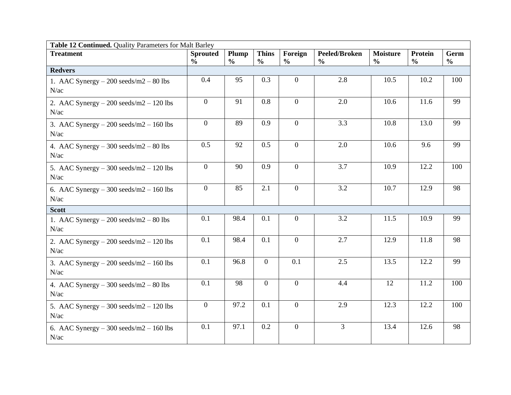| Table 12 Continued. Quality Parameters for Malt Barley |                                  |               |                               |                          |                                       |                                  |                          |                       |  |  |  |
|--------------------------------------------------------|----------------------------------|---------------|-------------------------------|--------------------------|---------------------------------------|----------------------------------|--------------------------|-----------------------|--|--|--|
| <b>Treatment</b>                                       | <b>Sprouted</b><br>$\frac{0}{0}$ | Plump         | <b>Thins</b><br>$\frac{0}{0}$ | Foreign<br>$\frac{0}{0}$ | <b>Peeled/Broken</b><br>$\frac{0}{0}$ | <b>Moisture</b><br>$\frac{0}{0}$ | Protein<br>$\frac{0}{0}$ | Germ<br>$\frac{0}{0}$ |  |  |  |
| <b>Redvers</b>                                         |                                  | $\frac{0}{0}$ |                               |                          |                                       |                                  |                          |                       |  |  |  |
| 1. AAC Synergy $-200$ seeds/m2 $-80$ lbs               | 0.4                              | 95            | 0.3                           | $\overline{0}$           | 2.8                                   | 10.5                             | 10.2                     | 100                   |  |  |  |
| N/ac                                                   |                                  |               |                               |                          |                                       |                                  |                          |                       |  |  |  |
| 2. AAC Synergy $-200$ seeds/m2 $-120$ lbs              | $\overline{0}$                   | 91            | 0.8                           | $\overline{0}$           | 2.0                                   | 10.6                             | 11.6                     | 99                    |  |  |  |
| N/ac                                                   |                                  |               |                               |                          |                                       |                                  |                          |                       |  |  |  |
| 3. AAC Synergy $-200$ seeds/m2 $-160$ lbs              | $\mathbf{0}$                     | 89            | 0.9                           | $\overline{0}$           | 3.3                                   | 10.8                             | 13.0                     | 99                    |  |  |  |
| N/ac                                                   |                                  |               |                               |                          |                                       |                                  |                          |                       |  |  |  |
| 4. AAC Synergy $-300$ seeds/m2 $-80$ lbs               | 0.5                              | 92            | 0.5                           | $\overline{0}$           | 2.0                                   | 10.6                             | 9.6                      | 99                    |  |  |  |
| N/ac                                                   |                                  |               |                               |                          |                                       |                                  |                          |                       |  |  |  |
| 5. AAC Synergy $-300$ seeds/m2 $-120$ lbs              | $\overline{0}$                   | 90            | 0.9                           | $\overline{0}$           | 3.7                                   | 10.9                             | 12.2                     | 100                   |  |  |  |
| N/ac                                                   |                                  |               |                               |                          |                                       |                                  |                          |                       |  |  |  |
| 6. AAC Synergy $-300$ seeds/m2 $-160$ lbs              | $\overline{0}$                   | 85            | 2.1                           | $\overline{0}$           | 3.2                                   | 10.7                             | 12.9                     | 98                    |  |  |  |
| N/ac                                                   |                                  |               |                               |                          |                                       |                                  |                          |                       |  |  |  |
| <b>Scott</b>                                           |                                  |               |                               |                          |                                       |                                  |                          |                       |  |  |  |
| 1. AAC Synergy $-200$ seeds/m2 $-80$ lbs               | 0.1                              | 98.4          | 0.1                           | $\overline{0}$           | 3.2                                   | 11.5                             | 10.9                     | 99                    |  |  |  |
| N/ac                                                   |                                  |               |                               |                          |                                       |                                  |                          |                       |  |  |  |
| 2. AAC Synergy $-200$ seeds/m2 $-120$ lbs              | 0.1                              | 98.4          | 0.1                           | $\mathbf{0}$             | 2.7                                   | 12.9                             | 11.8                     | 98                    |  |  |  |
| N/ac                                                   |                                  |               |                               |                          |                                       |                                  |                          |                       |  |  |  |
| 3. AAC Synergy $-200$ seeds/m2 $-160$ lbs              | 0.1                              | 96.8          | $\overline{0}$                | 0.1                      | 2.5                                   | 13.5                             | 12.2                     | 99                    |  |  |  |
| N/ac                                                   |                                  |               |                               |                          |                                       |                                  |                          |                       |  |  |  |
| 4. AAC Synergy $-300$ seeds/m2 $-80$ lbs               | 0.1                              | 98            | $\mathbf{0}$                  | $\overline{0}$           | 4.4                                   | 12                               | 11.2                     | 100                   |  |  |  |
| N/ac                                                   |                                  |               |                               |                          |                                       |                                  |                          |                       |  |  |  |
| 5. AAC Synergy $-300$ seeds/m2 $-120$ lbs              | $\mathbf{0}$                     | 97.2          | 0.1                           | $\overline{0}$           | 2.9                                   | 12.3                             | 12.2                     | 100                   |  |  |  |
| N/ac                                                   |                                  |               |                               |                          |                                       |                                  |                          |                       |  |  |  |
| 6. AAC Synergy $-300$ seeds/m2 $-160$ lbs              | 0.1                              | 97.1          | 0.2                           | $\overline{0}$           | $\overline{3}$                        | 13.4                             | 12.6                     | 98                    |  |  |  |
| N/ac                                                   |                                  |               |                               |                          |                                       |                                  |                          |                       |  |  |  |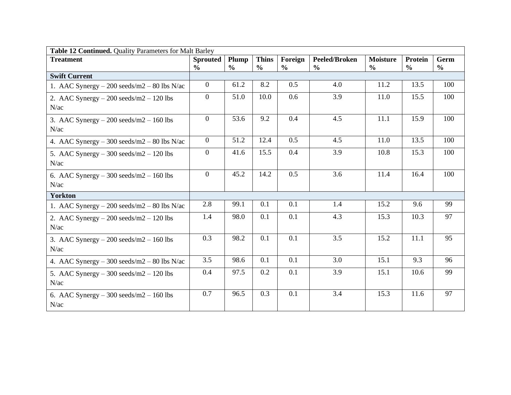| Table 12 Continued. Quality Parameters for Malt Barley |                 |               |               |               |                      |                 |                |               |  |  |  |
|--------------------------------------------------------|-----------------|---------------|---------------|---------------|----------------------|-----------------|----------------|---------------|--|--|--|
| <b>Treatment</b>                                       | <b>Sprouted</b> | Plump         | <b>Thins</b>  | Foreign       | <b>Peeled/Broken</b> | <b>Moisture</b> | <b>Protein</b> | Germ          |  |  |  |
|                                                        | $\frac{6}{6}$   | $\frac{0}{0}$ | $\frac{0}{0}$ | $\frac{6}{6}$ | $\frac{6}{6}$        | $\frac{6}{6}$   | $\frac{0}{0}$  | $\frac{0}{0}$ |  |  |  |
| <b>Swift Current</b>                                   |                 |               |               |               |                      |                 |                |               |  |  |  |
| 1. AAC Synergy $-200$ seeds/m2 $-80$ lbs N/ac          | $\theta$        | 61.2          | 8.2           | 0.5           | 4.0                  | 11.2            | 13.5           | 100           |  |  |  |
| 2. AAC Synergy $-200$ seeds/m2 $-120$ lbs              | $\overline{0}$  | 51.0          | 10.0          | 0.6           | 3.9                  | 11.0            | 15.5           | 100           |  |  |  |
| N/ac                                                   |                 |               |               |               |                      |                 |                |               |  |  |  |
| 3. AAC Synergy $-200$ seeds/m2 $-160$ lbs              | $\theta$        | 53.6          | 9.2           | 0.4           | 4.5                  | 11.1            | 15.9           | 100           |  |  |  |
| N/ac                                                   |                 |               |               |               |                      |                 |                |               |  |  |  |
| 4. AAC Synergy $-300$ seeds/m2 $-80$ lbs N/ac          | $\theta$        | 51.2          | 12.4          | 0.5           | 4.5                  | 11.0            | 13.5           | 100           |  |  |  |
| 5. AAC Synergy $-300$ seeds/m2 $-120$ lbs              | $\overline{0}$  | 41.6          | 15.5          | 0.4           | 3.9                  | 10.8            | 15.3           | 100           |  |  |  |
| N/ac                                                   |                 |               |               |               |                      |                 |                |               |  |  |  |
| 6. AAC Synergy $-300$ seeds/m2 $-160$ lbs              | $\overline{0}$  | 45.2          | 14.2          | 0.5           | 3.6                  | 11.4            | 16.4           | 100           |  |  |  |
| N/ac                                                   |                 |               |               |               |                      |                 |                |               |  |  |  |
| <b>Yorkton</b>                                         |                 |               |               |               |                      |                 |                |               |  |  |  |
| 1. AAC Synergy $-200$ seeds/m2 $-80$ lbs N/ac          | 2.8             | 99.1          | 0.1           | 0.1           | 1.4                  | 15.2            | 9.6            | 99            |  |  |  |
| 2. AAC Synergy $-200$ seeds/m2 $-120$ lbs              | 1.4             | 98.0          | 0.1           | 0.1           | 4.3                  | 15.3            | 10.3           | 97            |  |  |  |
| N/ac                                                   |                 |               |               |               |                      |                 |                |               |  |  |  |
| 3. AAC Synergy $-200$ seeds/m2 $-160$ lbs              | 0.3             | 98.2          | 0.1           | 0.1           | 3.5                  | 15.2            | 11.1           | 95            |  |  |  |
| N/ac                                                   |                 |               |               |               |                      |                 |                |               |  |  |  |
| 4. AAC Synergy $-300$ seeds/m2 $-80$ lbs N/ac          | 3.5             | 98.6          | 0.1           | 0.1           | 3.0                  | 15.1            | 9.3            | 96            |  |  |  |
| 5. AAC Synergy $-300$ seeds/m2 $-120$ lbs              | 0.4             | 97.5          | 0.2           | 0.1           | 3.9                  | 15.1            | 10.6           | 99            |  |  |  |
| N/ac                                                   |                 |               |               |               |                      |                 |                |               |  |  |  |
| 6. AAC Synergy $-300$ seeds/m2 $-160$ lbs              | 0.7             | 96.5          | 0.3           | 0.1           | 3.4                  | 15.3            | 11.6           | 97            |  |  |  |
| N/ac                                                   |                 |               |               |               |                      |                 |                |               |  |  |  |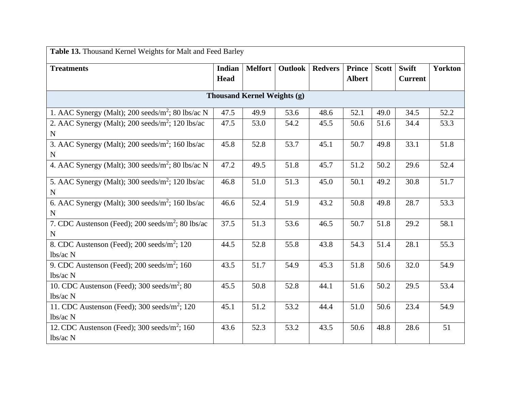| Table 13. Thousand Kernel Weights for Malt and Feed Barley                           |               |                |         |                |               |              |                |                |  |  |
|--------------------------------------------------------------------------------------|---------------|----------------|---------|----------------|---------------|--------------|----------------|----------------|--|--|
| <b>Treatments</b>                                                                    | <b>Indian</b> | <b>Melfort</b> | Outlook | <b>Redvers</b> | <b>Prince</b> | <b>Scott</b> | <b>Swift</b>   | <b>Yorkton</b> |  |  |
|                                                                                      | Head          |                |         |                | <b>Albert</b> |              | <b>Current</b> |                |  |  |
| <b>Thousand Kernel Weights (g)</b>                                                   |               |                |         |                |               |              |                |                |  |  |
| 1. AAC Synergy (Malt); 200 seeds/ $m^2$ ; 80 lbs/ac N                                | 47.5          | 49.9           | 53.6    | 48.6           | 52.1          | 49.0         | 34.5           | 52.2           |  |  |
| 2. AAC Synergy (Malt); 200 seeds/m <sup>2</sup> ; 120 lbs/ac<br>${\bf N}$            | 47.5          | 53.0           | 54.2    | 45.5           | 50.6          | 51.6         | 34.4           | 53.3           |  |  |
| 3. AAC Synergy (Malt); $200 \text{ seeds/m}^2$ ; 160 lbs/ac<br>N                     | 45.8          | 52.8           | 53.7    | 45.1           | 50.7          | 49.8         | 33.1           | 51.8           |  |  |
| 4. AAC Synergy (Malt); 300 seeds/m <sup>2</sup> ; 80 lbs/ac N                        | 47.2          | 49.5           | 51.8    | 45.7           | 51.2          | 50.2         | 29.6           | 52.4           |  |  |
| 5. AAC Synergy (Malt); 300 seeds/ $m^2$ ; 120 lbs/ac<br>$\mathbf N$                  | 46.8          | 51.0           | 51.3    | 45.0           | 50.1          | 49.2         | 30.8           | 51.7           |  |  |
| 6. AAC Synergy (Malt); $300 \text{ seeds/m}^2$ ; $160 \text{ lbs/ac}$<br>$\mathbf N$ | 46.6          | 52.4           | 51.9    | 43.2           | 50.8          | 49.8         | 28.7           | 53.3           |  |  |
| 7. CDC Austenson (Feed); $200 \text{ seeds/m}^2$ ; $80 \text{ lbs/ac}$<br>N          | 37.5          | 51.3           | 53.6    | 46.5           | 50.7          | 51.8         | 29.2           | 58.1           |  |  |
| 8. CDC Austenson (Feed); $200 \text{ seeds/m}^2$ ; 120<br>lbs/ac N                   | 44.5          | 52.8           | 55.8    | 43.8           | 54.3          | 51.4         | 28.1           | 55.3           |  |  |
| 9. CDC Austenson (Feed); $200 \text{ seeds/m}^2$ ; 160<br>lbs/ac N                   | 43.5          | 51.7           | 54.9    | 45.3           | 51.8          | 50.6         | 32.0           | 54.9           |  |  |
| 10. CDC Austenson (Feed); 300 seeds/ $m^2$ ; 80<br>lbs/ac N                          | 45.5          | 50.8           | 52.8    | 44.1           | 51.6          | 50.2         | 29.5           | 53.4           |  |  |
| 11. CDC Austenson (Feed); $300 \text{ seeds/m}^2$ ; $120$<br>lbs/ac N                | 45.1          | 51.2           | 53.2    | 44.4           | 51.0          | 50.6         | 23.4           | 54.9           |  |  |
| 12. CDC Austenson (Feed); $300 \text{ seeds/m}^2$ ; $160$<br>lbs/ac N                | 43.6          | 52.3           | 53.2    | 43.5           | 50.6          | 48.8         | 28.6           | 51             |  |  |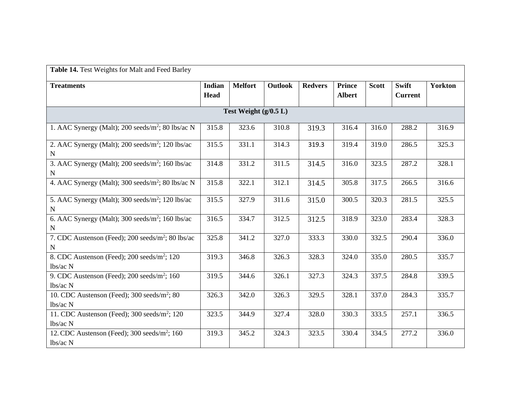| Table 14. Test Weights for Malt and Feed Barley                       |                              |                |                |                |                                |              |                                |                |  |  |  |
|-----------------------------------------------------------------------|------------------------------|----------------|----------------|----------------|--------------------------------|--------------|--------------------------------|----------------|--|--|--|
| <b>Treatments</b>                                                     | <b>Indian</b><br><b>Head</b> | <b>Melfort</b> | <b>Outlook</b> | <b>Redvers</b> | <b>Prince</b><br><b>Albert</b> | <b>Scott</b> | <b>Swift</b><br><b>Current</b> | <b>Yorkton</b> |  |  |  |
| Test Weight $(g/0.5 L)$                                               |                              |                |                |                |                                |              |                                |                |  |  |  |
| 1. AAC Synergy (Malt); 200 seeds/ $m^2$ ; 80 lbs/ac N                 | 315.8                        | 323.6          | 310.8          | 319.3          | 316.4                          | 316.0        | 288.2                          | 316.9          |  |  |  |
| 2. AAC Synergy (Malt); 200 seeds/ $m^2$ ; 120 lbs/ac<br>$\mathbf N$   | 315.5                        | 331.1          | 314.3          | 319.3          | 319.4                          | 319.0        | 286.5                          | 325.3          |  |  |  |
| 3. AAC Synergy (Malt); 200 seeds/ $m^2$ ; 160 lbs/ac<br>$\mathbf N$   | 314.8                        | 331.2          | 311.5          | 314.5          | 316.0                          | 323.5        | 287.2                          | 328.1          |  |  |  |
| 4. AAC Synergy (Malt); 300 seeds/m <sup>2</sup> ; 80 lbs/ac N         | 315.8                        | 322.1          | 312.1          | 314.5          | 305.8                          | 317.5        | 266.5                          | 316.6          |  |  |  |
| 5. AAC Synergy (Malt); 300 seeds/ $m^2$ ; 120 lbs/ac<br>N             | 315.5                        | 327.9          | 311.6          | 315.0          | 300.5                          | 320.3        | 281.5                          | 325.5          |  |  |  |
| 6. AAC Synergy (Malt); 300 seeds/ $m^2$ ; 160 lbs/ac<br>N             | 316.5                        | 334.7          | 312.5          | 312.5          | 318.9                          | 323.0        | 283.4                          | 328.3          |  |  |  |
| 7. CDC Austenson (Feed); 200 seeds/m <sup>2</sup> ; 80 lbs/ac<br>N    | 325.8                        | 341.2          | 327.0          | 333.3          | 330.0                          | 332.5        | 290.4                          | 336.0          |  |  |  |
| 8. CDC Austenson (Feed); 200 seeds/m <sup>2</sup> ; 120<br>lbs/ac N   | 319.3                        | 346.8          | 326.3          | 328.3          | 324.0                          | 335.0        | 280.5                          | 335.7          |  |  |  |
| 9. CDC Austenson (Feed); 200 seeds/m <sup>2</sup> ; 160<br>$lbs/ac$ N | 319.5                        | 344.6          | 326.1          | 327.3          | 324.3                          | 337.5        | 284.8                          | 339.5          |  |  |  |
| 10. CDC Austenson (Feed); 300 seeds/m <sup>2</sup> ; 80<br>lbs/ac N   | 326.3                        | 342.0          | 326.3          | 329.5          | 328.1                          | 337.0        | 284.3                          | 335.7          |  |  |  |
| 11. CDC Austenson (Feed); $300 \text{ seeds/m}^2$ ; $120$<br>lbs/ac N | 323.5                        | 344.9          | 327.4          | 328.0          | 330.3                          | 333.5        | 257.1                          | 336.5          |  |  |  |
| 12. CDC Austenson (Feed); $300 \text{ seeds/m}^2$ ; $160$<br>lbs/ac N | 319.3                        | 345.2          | 324.3          | 323.5          | 330.4                          | 334.5        | 277.2                          | 336.0          |  |  |  |